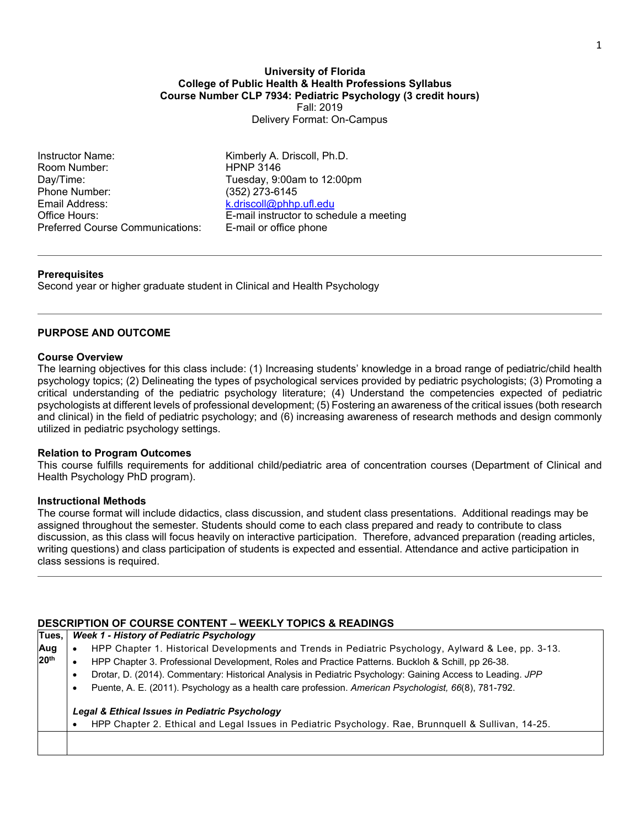### **University of Florida College of Public Health & Health Professions Syllabus Course Number CLP 7934: Pediatric Psychology (3 credit hours)** Fall: 2019 Delivery Format: On-Campus

Instructor Name: Kimberly A. Driscoll, Ph.D. Room Number: HPNP 3146 Day/Time: Tuesday, 9:00am to 12:00pm Phone Number:<br>Email Address: Preferred Course Communications: E-mail or office phone

[k.driscoll@phhp.ufl.edu](mailto:k.driscoll@phhp.ufl.edu) Office Hours: E-mail instructor to schedule a meeting

## **Prerequisites**

Second year or higher graduate student in Clinical and Health Psychology

# **PURPOSE AND OUTCOME**

### **Course Overview**

The learning objectives for this class include: (1) Increasing students' knowledge in a broad range of pediatric/child health psychology topics; (2) Delineating the types of psychological services provided by pediatric psychologists; (3) Promoting a critical understanding of the pediatric psychology literature; (4) Understand the competencies expected of pediatric psychologists at different levels of professional development; (5) Fostering an awareness of the critical issues (both research and clinical) in the field of pediatric psychology; and (6) increasing awareness of research methods and design commonly utilized in pediatric psychology settings.

#### **Relation to Program Outcomes**

This course fulfills requirements for additional child/pediatric area of concentration courses (Department of Clinical and Health Psychology PhD program).

#### **Instructional Methods**

The course format will include didactics, class discussion, and student class presentations. Additional readings may be assigned throughout the semester. Students should come to each class prepared and ready to contribute to class discussion, as this class will focus heavily on interactive participation. Therefore, advanced preparation (reading articles, writing questions) and class participation of students is expected and essential. Attendance and active participation in class sessions is required.

# **DESCRIPTION OF COURSE CONTENT – WEEKLY TOPICS & READINGS**

| Tues.                                                                                                                                                                                                                                                                                                                                             | Week 1 - History of Pediatric Psychology                                                                                                              |  |  |  |  |  |  |  |
|---------------------------------------------------------------------------------------------------------------------------------------------------------------------------------------------------------------------------------------------------------------------------------------------------------------------------------------------------|-------------------------------------------------------------------------------------------------------------------------------------------------------|--|--|--|--|--|--|--|
| Aug<br>HPP Chapter 1. Historical Developments and Trends in Pediatric Psychology, Aylward & Lee, pp. 3-13.<br>20 <sup>th</sup><br>HPP Chapter 3. Professional Development, Roles and Practice Patterns. Buckloh & Schill, pp 26-38.<br>Drotar, D. (2014). Commentary: Historical Analysis in Pediatric Psychology: Gaining Access to Leading. JPP |                                                                                                                                                       |  |  |  |  |  |  |  |
|                                                                                                                                                                                                                                                                                                                                                   | Puente, A. E. (2011). Psychology as a health care profession. American Psychologist, 66(8), 781-792.<br>٠                                             |  |  |  |  |  |  |  |
|                                                                                                                                                                                                                                                                                                                                                   | Legal & Ethical Issues in Pediatric Psychology<br>HPP Chapter 2. Ethical and Legal Issues in Pediatric Psychology. Rae, Brunnquell & Sullivan, 14-25. |  |  |  |  |  |  |  |
|                                                                                                                                                                                                                                                                                                                                                   |                                                                                                                                                       |  |  |  |  |  |  |  |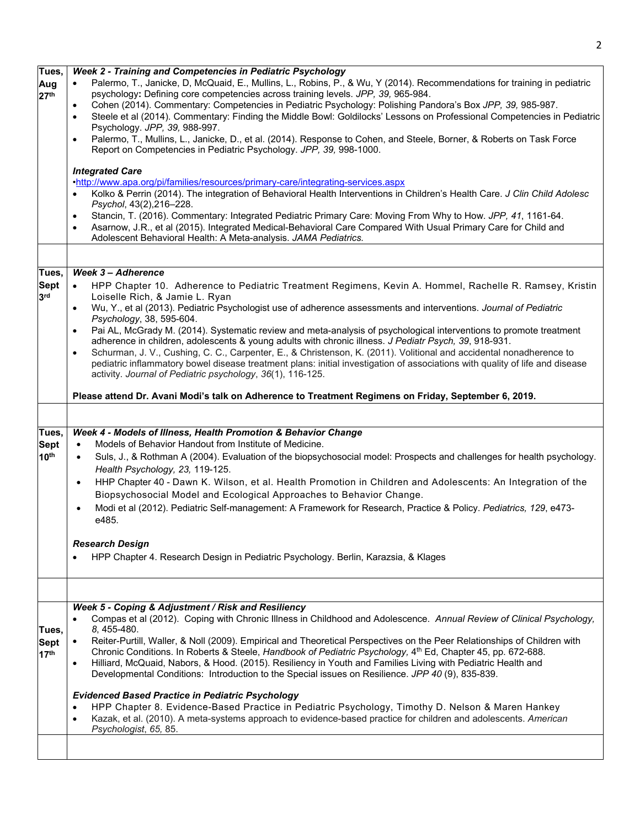| Tues,<br>Aug<br>27 <sup>th</sup>         | Week 2 - Training and Competencies in Pediatric Psychology<br>Palermo, T., Janicke, D, McQuaid, E., Mullins, L., Robins, P., & Wu, Y (2014). Recommendations for training in pediatric<br>psychology: Defining core competencies across training levels. JPP, 39, 965-984.<br>Cohen (2014). Commentary: Competencies in Pediatric Psychology: Polishing Pandora's Box JPP, 39, 985-987.<br>$\bullet$<br>Steele et al (2014). Commentary: Finding the Middle Bowl: Goldilocks' Lessons on Professional Competencies in Pediatric<br>$\bullet$<br>Psychology. JPP, 39, 988-997.<br>Palermo, T., Mullins, L., Janicke, D., et al. (2014). Response to Cohen, and Steele, Borner, & Roberts on Task Force<br>$\bullet$<br>Report on Competencies in Pediatric Psychology. JPP, 39, 998-1000.<br><b>Integrated Care</b><br>.http://www.apa.org/pi/families/resources/primary-care/integrating-services.aspx<br>Kolko & Perrin (2014). The integration of Behavioral Health Interventions in Children's Health Care. J Clin Child Adolesc<br>Psychol, 43(2), 216-228.<br>Stancin, T. (2016). Commentary: Integrated Pediatric Primary Care: Moving From Why to How. JPP, 41, 1161-64.<br>$\bullet$<br>Asarnow, J.R., et al (2015). Integrated Medical-Behavioral Care Compared With Usual Primary Care for Child and<br>$\bullet$<br>Adolescent Behavioral Health: A Meta-analysis. JAMA Pediatrics. |
|------------------------------------------|------------------------------------------------------------------------------------------------------------------------------------------------------------------------------------------------------------------------------------------------------------------------------------------------------------------------------------------------------------------------------------------------------------------------------------------------------------------------------------------------------------------------------------------------------------------------------------------------------------------------------------------------------------------------------------------------------------------------------------------------------------------------------------------------------------------------------------------------------------------------------------------------------------------------------------------------------------------------------------------------------------------------------------------------------------------------------------------------------------------------------------------------------------------------------------------------------------------------------------------------------------------------------------------------------------------------------------------------------------------------------------------------|
|                                          |                                                                                                                                                                                                                                                                                                                                                                                                                                                                                                                                                                                                                                                                                                                                                                                                                                                                                                                                                                                                                                                                                                                                                                                                                                                                                                                                                                                                |
| Tues,<br><b>Sept</b><br>3 <sup>rd</sup>  | <b>Week 3 - Adherence</b><br>HPP Chapter 10. Adherence to Pediatric Treatment Regimens, Kevin A. Hommel, Rachelle R. Ramsey, Kristin<br>$\bullet$<br>Loiselle Rich, & Jamie L. Ryan<br>Wu, Y., et al (2013). Pediatric Psychologist use of adherence assessments and interventions. Journal of Pediatric<br>$\bullet$<br>Psychology, 38, 595-604.<br>Pai AL, McGrady M. (2014). Systematic review and meta-analysis of psychological interventions to promote treatment<br>adherence in children, adolescents & young adults with chronic illness. J Pediatr Psych, 39, 918-931.<br>Schurman, J. V., Cushing, C. C., Carpenter, E., & Christenson, K. (2011). Volitional and accidental nonadherence to<br>$\bullet$<br>pediatric inflammatory bowel disease treatment plans: initial investigation of associations with quality of life and disease<br>activity. Journal of Pediatric psychology, 36(1), 116-125.<br>Please attend Dr. Avani Modi's talk on Adherence to Treatment Regimens on Friday, September 6, 2019.                                                                                                                                                                                                                                                                                                                                                                     |
|                                          |                                                                                                                                                                                                                                                                                                                                                                                                                                                                                                                                                                                                                                                                                                                                                                                                                                                                                                                                                                                                                                                                                                                                                                                                                                                                                                                                                                                                |
| Tues,<br><b>Sept</b><br>10 <sup>th</sup> | Week 4 - Models of Illness, Health Promotion & Behavior Change<br>Models of Behavior Handout from Institute of Medicine.<br>$\bullet$<br>Suls, J., & Rothman A (2004). Evaluation of the biopsychosocial model: Prospects and challenges for health psychology.<br>$\bullet$<br>Health Psychology, 23, 119-125.<br>HHP Chapter 40 - Dawn K. Wilson, et al. Health Promotion in Children and Adolescents: An Integration of the<br>$\bullet$<br>Biopsychosocial Model and Ecological Approaches to Behavior Change.<br>Modi et al (2012). Pediatric Self-management: A Framework for Research, Practice & Policy. Pediatrics, 129, e473-<br>$\bullet$<br>e485.<br><b>Research Design</b><br>HPP Chapter 4. Research Design in Pediatric Psychology. Berlin, Karazsia, & Klages                                                                                                                                                                                                                                                                                                                                                                                                                                                                                                                                                                                                                  |
|                                          |                                                                                                                                                                                                                                                                                                                                                                                                                                                                                                                                                                                                                                                                                                                                                                                                                                                                                                                                                                                                                                                                                                                                                                                                                                                                                                                                                                                                |
|                                          |                                                                                                                                                                                                                                                                                                                                                                                                                                                                                                                                                                                                                                                                                                                                                                                                                                                                                                                                                                                                                                                                                                                                                                                                                                                                                                                                                                                                |
| Tues,<br><b>Sept</b><br>17 <sup>th</sup> | Week 5 - Coping & Adjustment / Risk and Resiliency<br>Compas et al (2012). Coping with Chronic Illness in Childhood and Adolescence. Annual Review of Clinical Psychology,<br>8, 455-480.<br>Reiter-Purtill, Waller, & Noll (2009). Empirical and Theoretical Perspectives on the Peer Relationships of Children with<br>Chronic Conditions. In Roberts & Steele, Handbook of Pediatric Psychology, 4th Ed, Chapter 45, pp. 672-688.<br>Hilliard, McQuaid, Nabors, & Hood. (2015). Resiliency in Youth and Families Living with Pediatric Health and<br>$\bullet$<br>Developmental Conditions: Introduction to the Special issues on Resilience. JPP 40 (9), 835-839.<br><b>Evidenced Based Practice in Pediatric Psychology</b><br>HPP Chapter 8. Evidence-Based Practice in Pediatric Psychology, Timothy D. Nelson & Maren Hankey<br>Kazak, et al. (2010). A meta-systems approach to evidence-based practice for children and adolescents. American<br>$\bullet$<br>Psychologist, 65, 85.                                                                                                                                                                                                                                                                                                                                                                                                  |
|                                          |                                                                                                                                                                                                                                                                                                                                                                                                                                                                                                                                                                                                                                                                                                                                                                                                                                                                                                                                                                                                                                                                                                                                                                                                                                                                                                                                                                                                |

2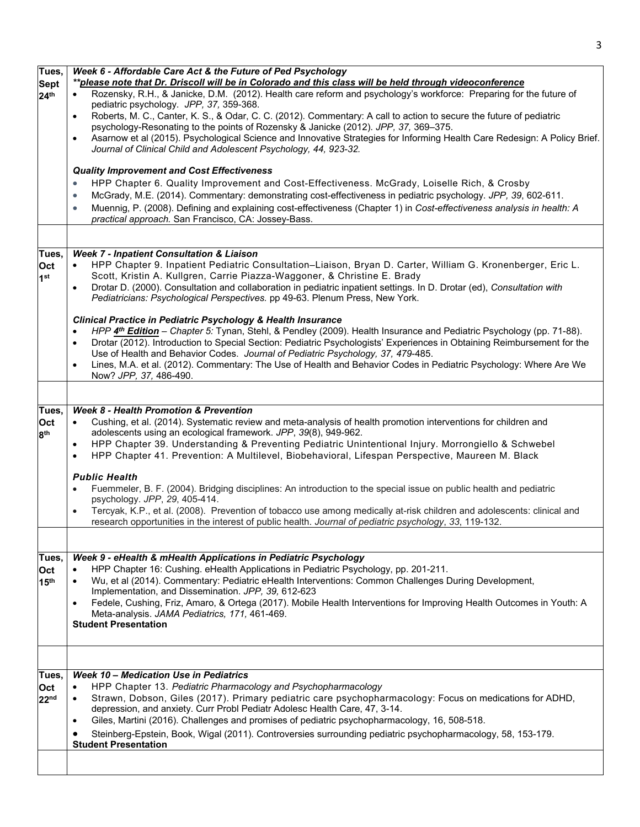|           | Week 6 - Affordable Care Act & the Future of Ped Psychology                                                                                                                                                |
|-----------|------------------------------------------------------------------------------------------------------------------------------------------------------------------------------------------------------------|
|           | **please note that Dr. Driscoll will be in Colorado and this class will be held through videoconference                                                                                                    |
| $\bullet$ | Rozensky, R.H., & Janicke, D.M. (2012). Health care reform and psychology's workforce: Preparing for the future of<br>pediatric psychology. JPP, 37, 359-368.                                              |
| $\bullet$ | Roberts, M. C., Canter, K. S., & Odar, C. C. (2012). Commentary: A call to action to secure the future of pediatric<br>psychology-Resonating to the points of Rozensky & Janicke (2012). JPP, 37, 369-375. |
| $\bullet$ | Asarnow et al (2015). Psychological Science and Innovative Strategies for Informing Health Care Redesign: A Policy Brief.<br>Journal of Clinical Child and Adolescent Psychology, 44, 923-32.              |
|           | <b>Quality Improvement and Cost Effectiveness</b>                                                                                                                                                          |
| $\bullet$ | HPP Chapter 6. Quality Improvement and Cost-Effectiveness. McGrady, Loiselle Rich, & Crosby                                                                                                                |
| $\bullet$ | McGrady, M.E. (2014). Commentary: demonstrating cost-effectiveness in pediatric psychology. JPP, 39, 602-611.                                                                                              |
| $\bullet$ | Muennig, P. (2008). Defining and explaining cost-effectiveness (Chapter 1) in Cost-effectiveness analysis in health: A<br>practical approach. San Francisco, CA: Jossey-Bass.                              |
|           |                                                                                                                                                                                                            |

|                        | HPP Chapter 6. Quality Improvement and Cost-Effectiveness. McGrady, Loiselle Rich, & Crosby<br>$\bullet$                                                                           |
|------------------------|------------------------------------------------------------------------------------------------------------------------------------------------------------------------------------|
|                        | McGrady, M.E. (2014). Commentary: demonstrating cost-effectiveness in pediatric psychology. JPP, 39, 602-611.<br>$\bullet$                                                         |
|                        | Muennig, P. (2008). Defining and explaining cost-effectiveness (Chapter 1) in Cost-effectiveness analysis in health: A<br>$\bullet$                                                |
|                        | practical approach. San Francisco, CA: Jossey-Bass.                                                                                                                                |
|                        |                                                                                                                                                                                    |
|                        | <b>Week 7 - Inpatient Consultation &amp; Liaison</b>                                                                                                                               |
| Tues,                  | HPP Chapter 9. Inpatient Pediatric Consultation-Liaison, Bryan D. Carter, William G. Kronenberger, Eric L.                                                                         |
| Oct<br>1 <sup>st</sup> | Scott, Kristin A. Kullgren, Carrie Piazza-Waggoner, & Christine E. Brady                                                                                                           |
|                        | Drotar D. (2000). Consultation and collaboration in pediatric inpatient settings. In D. Drotar (ed), Consultation with<br>$\bullet$                                                |
|                        | Pediatricians: Psychological Perspectives. pp 49-63. Plenum Press, New York.                                                                                                       |
|                        | <b>Clinical Practice in Pediatric Psychology &amp; Health Insurance</b>                                                                                                            |
|                        | HPP 4th Edition - Chapter 5: Tynan, Stehl, & Pendley (2009). Health Insurance and Pediatric Psychology (pp. 71-88).<br>$\bullet$                                                   |
|                        | Drotar (2012). Introduction to Special Section: Pediatric Psychologists' Experiences in Obtaining Reimbursement for the<br>$\bullet$                                               |
|                        | Use of Health and Behavior Codes. Journal of Pediatric Psychology, 37, 479-485.                                                                                                    |
|                        | Lines, M.A. et al. (2012). Commentary: The Use of Health and Behavior Codes in Pediatric Psychology: Where Are We<br>$\bullet$                                                     |
|                        | Now? JPP, 37, 486-490.                                                                                                                                                             |
|                        |                                                                                                                                                                                    |
| Tues,                  | <b>Week 8 - Health Promotion &amp; Prevention</b>                                                                                                                                  |
| Oct                    | Cushing, et al. (2014). Systematic review and meta-analysis of health promotion interventions for children and                                                                     |
| 8 <sup>th</sup>        | adolescents using an ecological framework. JPP, 39(8), 949-962.                                                                                                                    |
|                        | HPP Chapter 39. Understanding & Preventing Pediatric Unintentional Injury. Morrongiello & Schwebel<br>$\bullet$                                                                    |
|                        | HPP Chapter 41. Prevention: A Multilevel, Biobehavioral, Lifespan Perspective, Maureen M. Black<br>$\bullet$                                                                       |
|                        | <b>Public Health</b>                                                                                                                                                               |
|                        | Fuemmeler, B. F. (2004). Bridging disciplines: An introduction to the special issue on public health and pediatric<br>$\bullet$                                                    |
|                        | psychology. JPP, 29, 405-414.                                                                                                                                                      |
|                        | Tercyak, K.P., et al. (2008). Prevention of tobacco use among medically at-risk children and adolescents: clinical and<br>$\bullet$                                                |
|                        | research opportunities in the interest of public health. Journal of pediatric psychology, 33, 119-132.                                                                             |
|                        |                                                                                                                                                                                    |
| Tues,                  | Week 9 - eHealth & mHealth Applications in Pediatric Psychology                                                                                                                    |
| Oct                    | HPP Chapter 16: Cushing. eHealth Applications in Pediatric Psychology, pp. 201-211.<br>$\bullet$                                                                                   |
| 15 <sup>th</sup>       | Wu, et al (2014). Commentary: Pediatric eHealth Interventions: Common Challenges During Development,<br>$\bullet$                                                                  |
|                        | Implementation, and Dissemination. JPP, 39, 612-623                                                                                                                                |
|                        | Fedele, Cushing, Friz, Amaro, & Ortega (2017). Mobile Health Interventions for Improving Health Outcomes in Youth: A<br>$\bullet$<br>Meta-analysis. JAMA Pediatrics, 171, 461-469. |
|                        | <b>Student Presentation</b>                                                                                                                                                        |
|                        |                                                                                                                                                                                    |
|                        |                                                                                                                                                                                    |
| Tues,                  | <b>Week 10 - Medication Use in Pediatrics</b>                                                                                                                                      |
| Oct                    | HPP Chapter 13. Pediatric Pharmacology and Psychopharmacology<br>$\bullet$                                                                                                         |
| 22 <sup>nd</sup>       | Strawn, Dobson, Giles (2017). Primary pediatric care psychopharmacology: Focus on medications for ADHD,<br>$\bullet$                                                               |
|                        | depression, and anxiety. Curr Probl Pediatr Adolesc Health Care, 47, 3-14.                                                                                                         |
|                        | Giles, Martini (2016). Challenges and promises of pediatric psychopharmacology, 16, 508-518.<br>$\bullet$                                                                          |
|                        | Steinberg-Epstein, Book, Wigal (2011). Controversies surrounding pediatric psychopharmacology, 58, 153-179.<br>$\bullet$                                                           |
|                        | <b>Student Presentation</b>                                                                                                                                                        |
|                        |                                                                                                                                                                                    |

**Tues, Sept 24th**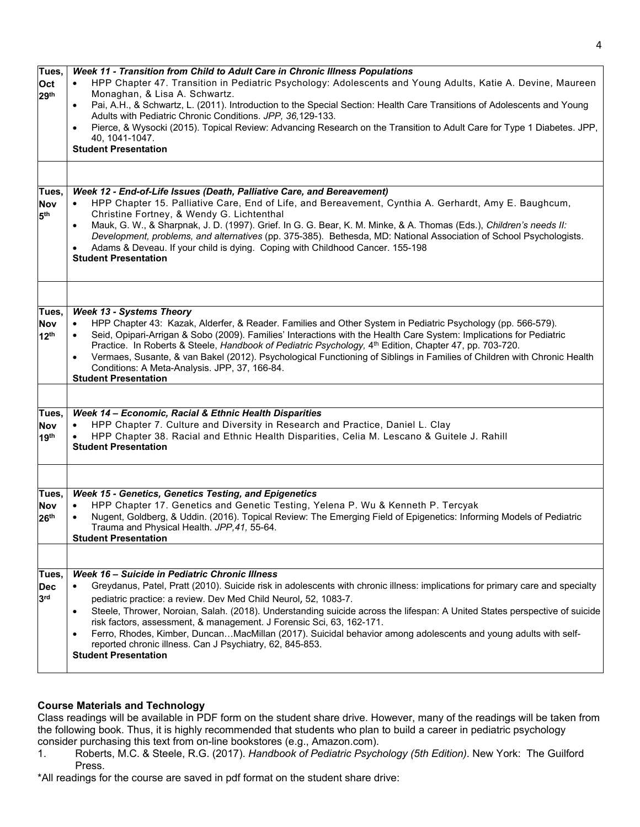| Tues,<br>Oct<br>29 <sup>th</sup>        | Week 11 - Transition from Child to Adult Care in Chronic Illness Populations<br>HPP Chapter 47. Transition in Pediatric Psychology: Adolescents and Young Adults, Katie A. Devine, Maureen<br>Monaghan, & Lisa A. Schwartz.<br>Pai, A.H., & Schwartz, L. (2011). Introduction to the Special Section: Health Care Transitions of Adolescents and Young<br>Adults with Pediatric Chronic Conditions. JPP, 36,129-133.<br>Pierce, & Wysocki (2015). Topical Review: Advancing Research on the Transition to Adult Care for Type 1 Diabetes. JPP,<br>$\bullet$<br>40, 1041-1047.<br><b>Student Presentation</b>                                                                                    |
|-----------------------------------------|-------------------------------------------------------------------------------------------------------------------------------------------------------------------------------------------------------------------------------------------------------------------------------------------------------------------------------------------------------------------------------------------------------------------------------------------------------------------------------------------------------------------------------------------------------------------------------------------------------------------------------------------------------------------------------------------------|
| Tues,<br>Nov<br>5 <sup>th</sup>         | Week 12 - End-of-Life Issues (Death, Palliative Care, and Bereavement)<br>HPP Chapter 15. Palliative Care, End of Life, and Bereavement, Cynthia A. Gerhardt, Amy E. Baughcum,<br>Christine Fortney, & Wendy G. Lichtenthal<br>Mauk, G. W., & Sharpnak, J. D. (1997). Grief. In G. G. Bear, K. M. Minke, & A. Thomas (Eds.), Children's needs II:<br>Development, problems, and alternatives (pp. 375-385). Bethesda, MD: National Association of School Psychologists.<br>Adams & Deveau. If your child is dying. Coping with Childhood Cancer. 155-198<br><b>Student Presentation</b>                                                                                                         |
|                                         |                                                                                                                                                                                                                                                                                                                                                                                                                                                                                                                                                                                                                                                                                                 |
| Tues,<br><b>Nov</b><br>12 <sup>th</sup> | <b>Week 13 - Systems Theory</b><br>HPP Chapter 43: Kazak, Alderfer, & Reader. Families and Other System in Pediatric Psychology (pp. 566-579).<br>Seid, Opipari-Arrigan & Sobo (2009). Families' Interactions with the Health Care System: Implications for Pediatric<br>Practice. In Roberts & Steele, Handbook of Pediatric Psychology, 4th Edition, Chapter 47, pp. 703-720.<br>Vermaes, Susante, & van Bakel (2012). Psychological Functioning of Siblings in Families of Children with Chronic Health<br>Conditions: A Meta-Analysis. JPP, 37, 166-84.<br><b>Student Presentation</b>                                                                                                      |
|                                         |                                                                                                                                                                                                                                                                                                                                                                                                                                                                                                                                                                                                                                                                                                 |
| Tues,<br><b>Nov</b><br>19 <sup>th</sup> | Week 14 - Economic, Racial & Ethnic Health Disparities<br>HPP Chapter 7. Culture and Diversity in Research and Practice, Daniel L. Clay<br>HPP Chapter 38. Racial and Ethnic Health Disparities, Celia M. Lescano & Guitele J. Rahill<br><b>Student Presentation</b>                                                                                                                                                                                                                                                                                                                                                                                                                            |
|                                         |                                                                                                                                                                                                                                                                                                                                                                                                                                                                                                                                                                                                                                                                                                 |
| Tues,<br><b>Nov</b><br>26 <sup>th</sup> | Week 15 - Genetics, Genetics Testing, and Epigenetics<br>HPP Chapter 17. Genetics and Genetic Testing, Yelena P. Wu & Kenneth P. Tercyak<br>Nugent, Goldberg, & Uddin. (2016). Topical Review: The Emerging Field of Epigenetics: Informing Models of Pediatric<br>Trauma and Physical Health. JPP,41, 55-64.<br><b>Student Presentation</b>                                                                                                                                                                                                                                                                                                                                                    |
|                                         |                                                                                                                                                                                                                                                                                                                                                                                                                                                                                                                                                                                                                                                                                                 |
| Tues,<br><b>Dec</b><br>3 <sup>rd</sup>  | Week 16 - Suicide in Pediatric Chronic Illness<br>Greydanus, Patel, Pratt (2010). Suicide risk in adolescents with chronic illness: implications for primary care and specialty<br>pediatric practice: a review. Dev Med Child Neurol, 52, 1083-7.<br>Steele, Thrower, Noroian, Salah. (2018). Understanding suicide across the lifespan: A United States perspective of suicide<br>$\bullet$<br>risk factors, assessment, & management. J Forensic Sci, 63, 162-171.<br>Ferro, Rhodes, Kimber, DuncanMacMillan (2017). Suicidal behavior among adolescents and young adults with self-<br>$\bullet$<br>reported chronic illness. Can J Psychiatry, 62, 845-853.<br><b>Student Presentation</b> |

# **Course Materials and Technology**

Class readings will be available in PDF form on the student share drive. However, many of the readings will be taken from the following book. Thus, it is highly recommended that students who plan to build a career in pediatric psychology consider purchasing this text from on-line bookstores (e.g., Amazon.com).<br>1. Roberts, M.C. & Steele, R.G. (2017). Handbook of Pediatric Psych

1. Roberts, M.C. & Steele, R.G. (2017). *Handbook of Pediatric Psychology (5th Edition).* New York: The Guilford Press.

\*All readings for the course are saved in pdf format on the student share drive: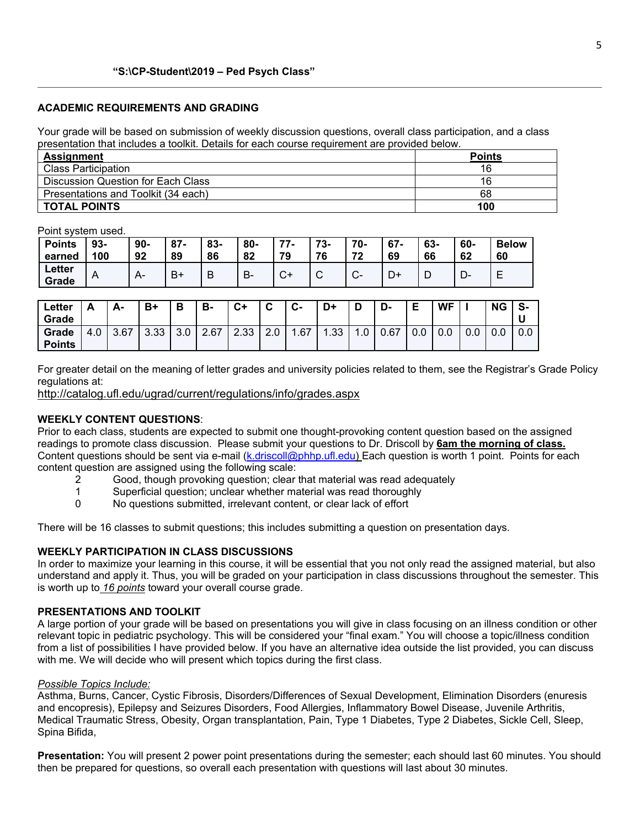### **ACADEMIC REQUIREMENTS AND GRADING**

Your grade will be based on submission of weekly discussion questions, overall class participation, and a class presentation that includes a toolkit. Details for each course requirement are provided below.

| <b>Assignment</b>                   | <b>Points</b> |
|-------------------------------------|---------------|
| <b>Class Participation</b>          | 16            |
| Discussion Question for Each Class  | 16            |
| Presentations and Toolkit (34 each) | 68            |
| <b>TOTAL POINTS</b>                 | 100           |

Point system used.

| <b>Points</b><br>earned | $93 -$<br>100 | $90 -$<br>92 | $87 -$<br>89 | 83-<br>86 | 80-<br>82 | 77<br>79     | フク<br>.ა-<br>76 | 70-<br>72      | $67 -$<br>69 | 63-<br>66 | 60-<br>62 | <b>Below</b><br>60 |
|-------------------------|---------------|--------------|--------------|-----------|-----------|--------------|-----------------|----------------|--------------|-----------|-----------|--------------------|
| Letter<br>Grade         | $\mathsf{A}$  | A-           | B+           | D         | В-        | $\mathbf{v}$ | ັ               | ⌒<br><b>U-</b> | D+           |           | ∍         | -                  |

| Letter<br>Grade        | <b>__</b> | А-   | $B+$ |                 | в.   | $C+$         | $\sim$<br>ີ | $\sim$<br>v- | D+  | D                 | r<br>-ש | -<br>E | <b>WF</b> |     | <b>NG</b> | S-<br>u |
|------------------------|-----------|------|------|-----------------|------|--------------|-------------|--------------|-----|-------------------|---------|--------|-----------|-----|-----------|---------|
| Grade<br><b>Points</b> | 4.0       | 3.67 | 3.33 | $\Omega$<br>v.v | 2.67 | റ റാ<br>دد.∠ | Z.U         | .67          | .33 | $\cdot$ . $\cdot$ | 0.67    | v.v    | 0.0       | 0.0 | 0.0       | 0.0     |

For greater detail on the meaning of letter grades and university policies related to them, see the Registrar's Grade Policy regulations at:

<http://catalog.ufl.edu/ugrad/current/regulations/info/grades.aspx>

# **WEEKLY CONTENT QUESTIONS**:

Prior to each class, students are expected to submit one thought-provoking content question based on the assigned readings to promote class discussion. Please submit your questions to Dr. Driscoll by **6am the morning of class.** Content questions should be sent via e-mail [\(k.driscoll@phhp.ufl.edu\)](mailto:k.driscoll@phhp.ufl.edu) Each question is worth 1 point. Points for each content question are assigned using the following scale:

- 2 Good, though provoking question; clear that material was read adequately
- 1 Superficial question; unclear whether material was read thoroughly
- 0 No questions submitted, irrelevant content, or clear lack of effort

There will be 16 classes to submit questions; this includes submitting a question on presentation days.

### **WEEKLY PARTICIPATION IN CLASS DISCUSSIONS**

In order to maximize your learning in this course, it will be essential that you not only read the assigned material, but also understand and apply it. Thus, you will be graded on your participation in class discussions throughout the semester. This is worth up to *16 points* toward your overall course grade.

#### **PRESENTATIONS AND TOOLKIT**

A large portion of your grade will be based on presentations you will give in class focusing on an illness condition or other relevant topic in pediatric psychology. This will be considered your "final exam." You will choose a topic/illness condition from a list of possibilities I have provided below. If you have an alternative idea outside the list provided, you can discuss with me. We will decide who will present which topics during the first class.

#### *Possible Topics Include:*

Asthma, Burns, Cancer, Cystic Fibrosis, Disorders/Differences of Sexual Development, Elimination Disorders (enuresis and encopresis), Epilepsy and Seizures Disorders, Food Allergies, Inflammatory Bowel Disease, Juvenile Arthritis, Medical Traumatic Stress, Obesity, Organ transplantation, Pain, Type 1 Diabetes, Type 2 Diabetes, Sickle Cell, Sleep, Spina Bifida,

**Presentation:** You will present 2 power point presentations during the semester; each should last 60 minutes. You should then be prepared for questions, so overall each presentation with questions will last about 30 minutes.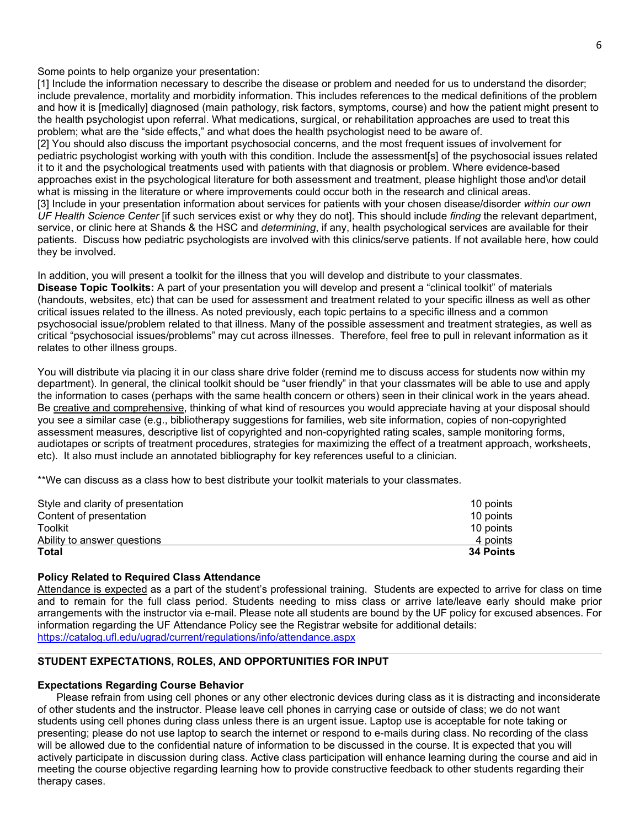Some points to help organize your presentation:

[1] Include the information necessary to describe the disease or problem and needed for us to understand the disorder; include prevalence, mortality and morbidity information. This includes references to the medical definitions of the problem and how it is [medically] diagnosed (main pathology, risk factors, symptoms, course) and how the patient might present to the health psychologist upon referral. What medications, surgical, or rehabilitation approaches are used to treat this problem; what are the "side effects," and what does the health psychologist need to be aware of.

[2] You should also discuss the important psychosocial concerns, and the most frequent issues of involvement for pediatric psychologist working with youth with this condition. Include the assessment[s] of the psychosocial issues related it to it and the psychological treatments used with patients with that diagnosis or problem. Where evidence-based approaches exist in the psychological literature for both assessment and treatment, please highlight those and\or detail what is missing in the literature or where improvements could occur both in the research and clinical areas. [3] Include in your presentation information about services for patients with your chosen disease/disorder *within our own* 

*UF Health Science Center* [if such services exist or why they do not]. This should include *finding* the relevant department, service, or clinic here at Shands & the HSC and *determining*, if any, health psychological services are available for their patients. Discuss how pediatric psychologists are involved with this clinics/serve patients. If not available here, how could they be involved.

In addition, you will present a toolkit for the illness that you will develop and distribute to your classmates. **Disease Topic Toolkits:** A part of your presentation you will develop and present a "clinical toolkit" of materials (handouts, websites, etc) that can be used for assessment and treatment related to your specific illness as well as other critical issues related to the illness. As noted previously, each topic pertains to a specific illness and a common psychosocial issue/problem related to that illness. Many of the possible assessment and treatment strategies, as well as critical "psychosocial issues/problems" may cut across illnesses. Therefore, feel free to pull in relevant information as it relates to other illness groups.

You will distribute via placing it in our class share drive folder (remind me to discuss access for students now within my department). In general, the clinical toolkit should be "user friendly" in that your classmates will be able to use and apply the information to cases (perhaps with the same health concern or others) seen in their clinical work in the years ahead. Be creative and comprehensive, thinking of what kind of resources you would appreciate having at your disposal should you see a similar case (e.g., bibliotherapy suggestions for families, web site information, copies of non-copyrighted assessment measures, descriptive list of copyrighted and non-copyrighted rating scales, sample monitoring forms, audiotapes or scripts of treatment procedures, strategies for maximizing the effect of a treatment approach, worksheets, etc). It also must include an annotated bibliography for key references useful to a clinician.

\*\*We can discuss as a class how to best distribute your toolkit materials to your classmates.

| Style and clarity of presentation | 10 points        |
|-----------------------------------|------------------|
| Content of presentation           | 10 points        |
| Toolkit                           | 10 points        |
| Ability to answer questions       | 4 points         |
| <b>Total</b>                      | <b>34 Points</b> |

### **Policy Related to Required Class Attendance**

Attendance is expected as a part of the student's professional training. Students are expected to arrive for class on time and to remain for the full class period. Students needing to miss class or arrive late/leave early should make prior arrangements with the instructor via e-mail. Please note all students are bound by the UF policy for excused absences. For information regarding the UF Attendance Policy see the Registrar website for additional details: <https://catalog.ufl.edu/ugrad/current/regulations/info/attendance.aspx>

## **STUDENT EXPECTATIONS, ROLES, AND OPPORTUNITIES FOR INPUT**

### **Expectations Regarding Course Behavior**

Please refrain from using cell phones or any other electronic devices during class as it is distracting and inconsiderate of other students and the instructor. Please leave cell phones in carrying case or outside of class; we do not want students using cell phones during class unless there is an urgent issue. Laptop use is acceptable for note taking or presenting; please do not use laptop to search the internet or respond to e-mails during class. No recording of the class will be allowed due to the confidential nature of information to be discussed in the course. It is expected that you will actively participate in discussion during class. Active class participation will enhance learning during the course and aid in meeting the course objective regarding learning how to provide constructive feedback to other students regarding their therapy cases.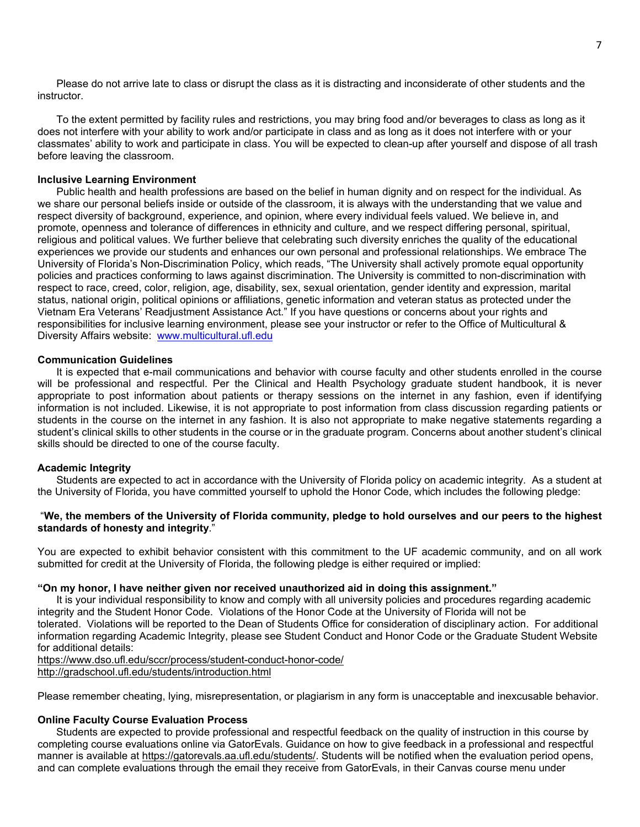Please do not arrive late to class or disrupt the class as it is distracting and inconsiderate of other students and the instructor.

To the extent permitted by facility rules and restrictions, you may bring food and/or beverages to class as long as it does not interfere with your ability to work and/or participate in class and as long as it does not interfere with or your classmates' ability to work and participate in class. You will be expected to clean-up after yourself and dispose of all trash before leaving the classroom.

#### **Inclusive Learning Environment**

Public health and health professions are based on the belief in human dignity and on respect for the individual. As we share our personal beliefs inside or outside of the classroom, it is always with the understanding that we value and respect diversity of background, experience, and opinion, where every individual feels valued. We believe in, and promote, openness and tolerance of differences in ethnicity and culture, and we respect differing personal, spiritual, religious and political values. We further believe that celebrating such diversity enriches the quality of the educational experiences we provide our students and enhances our own personal and professional relationships. We embrace The University of Florida's Non-Discrimination Policy, which reads, "The University shall actively promote equal opportunity policies and practices conforming to laws against discrimination. The University is committed to non-discrimination with respect to race, creed, color, religion, age, disability, sex, sexual orientation, gender identity and expression, marital status, national origin, political opinions or affiliations, genetic information and veteran status as protected under the Vietnam Era Veterans' Readjustment Assistance Act." If you have questions or concerns about your rights and responsibilities for inclusive learning environment, please see your instructor or refer to the Office of Multicultural & Diversity Affairs website: [www.multicultural.ufl.edu](http://www.multicultural.ufl.edu/)

#### **Communication Guidelines**

It is expected that e-mail communications and behavior with course faculty and other students enrolled in the course will be professional and respectful. Per the Clinical and Health Psychology graduate student handbook, it is never appropriate to post information about patients or therapy sessions on the internet in any fashion, even if identifying information is not included. Likewise, it is not appropriate to post information from class discussion regarding patients or students in the course on the internet in any fashion. It is also not appropriate to make negative statements regarding a student's clinical skills to other students in the course or in the graduate program. Concerns about another student's clinical skills should be directed to one of the course faculty.

#### **Academic Integrity**

Students are expected to act in accordance with the University of Florida policy on academic integrity. As a student at the University of Florida, you have committed yourself to uphold the Honor Code, which includes the following pledge:

## "We, the members of the University of Florida community, pledge to hold ourselves and our peers to the highest **standards of honesty and integrity**."

You are expected to exhibit behavior consistent with this commitment to the UF academic community, and on all work submitted for credit at the University of Florida, the following pledge is either required or implied:

# **"On my honor, I have neither given nor received unauthorized aid in doing this assignment."**

It is your individual responsibility to know and comply with all university policies and procedures regarding academic integrity and the Student Honor Code. Violations of the Honor Code at the University of Florida will not be tolerated. Violations will be reported to the Dean of Students Office for consideration of disciplinary action. For additional information regarding Academic Integrity, please see Student Conduct and Honor Code or the Graduate Student Website for additional details:

<https://www.dso.ufl.edu/sccr/process/student-conduct-honor-code/>

<http://gradschool.ufl.edu/students/introduction.html>

Please remember cheating, lying, misrepresentation, or plagiarism in any form is unacceptable and inexcusable behavior.

### **Online Faculty Course Evaluation Process**

Students are expected to provide professional and respectful feedback on the quality of instruction in this course by completing course evaluations online via GatorEvals. Guidance on how to give feedback in a professional and respectful manner is available at [https://gatorevals.aa.ufl.edu/students/.](https://gatorevals.aa.ufl.edu/students/) Students will be notified when the evaluation period opens, and can complete evaluations through the email they receive from GatorEvals, in their Canvas course menu under